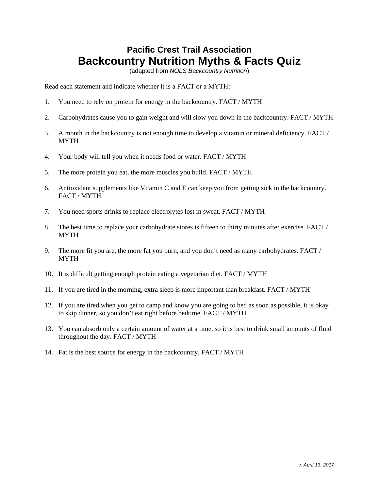## **Pacific Crest Trail Association Backcountry Nutrition Myths & Facts Quiz**

(adapted from *NOLS Backcountry Nutrition*)

Read each statement and indicate whether it is a FACT or a MYTH:

- 1. You need to rely on protein for energy in the backcountry. FACT / MYTH
- 2. Carbohydrates cause you to gain weight and will slow you down in the backcountry. FACT / MYTH
- 3. A month in the backcountry is not enough time to develop a vitamin or mineral deficiency. FACT / **MYTH**
- 4. Your body will tell you when it needs food or water. FACT / MYTH
- 5. The more protein you eat, the more muscles you build. FACT / MYTH
- 6. Antioxidant supplements like Vitamin C and E can keep you from getting sick in the backcountry. FACT / MYTH
- 7. You need sports drinks to replace electrolytes lost in sweat. FACT / MYTH
- 8. The best time to replace your carbohydrate stores is fifteen to thirty minutes after exercise. FACT / MYTH
- 9. The more fit you are, the more fat you burn, and you don't need as many carbohydrates. FACT / MYTH
- 10. It is difficult getting enough protein eating a vegetarian diet. FACT / MYTH
- 11. If you are tired in the morning, extra sleep is more important than breakfast. FACT / MYTH
- 12. If you are tired when you get to camp and know you are going to bed as soon as possible, it is okay to skip dinner, so you don't eat right before bedtime. FACT / MYTH
- 13. You can absorb only a certain amount of water at a time, so it is best to drink small amounts of fluid throughout the day. FACT / MYTH
- 14. Fat is the best source for energy in the backcountry. FACT / MYTH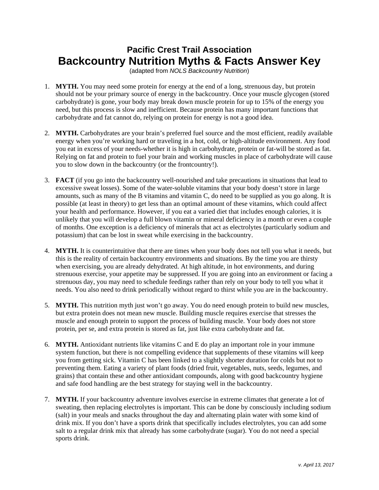## **Pacific Crest Trail Association Backcountry Nutrition Myths & Facts Answer Key**

(adapted from *NOLS Backcountry Nutrition*)

- 1. **MYTH.** You may need some protein for energy at the end of a long, strenuous day, but protein should not be your primary source of energy in the backcountry. Once your muscle glycogen (stored carbohydrate) is gone, your body may break down muscle protein for up to 15% of the energy you need, but this process is slow and inefficient. Because protein has many important functions that carbohydrate and fat cannot do, relying on protein for energy is not a good idea.
- 2. **MYTH.** Carbohydrates are your brain's preferred fuel source and the most efficient, readily available energy when you're working hard or traveling in a hot, cold, or high-altitude environment. Any food you eat in excess of your needs-whether it is high in carbohydrate, protein or fat-will be stored as fat. Relying on fat and protein to fuel your brain and working muscles in place of carbohydrate will cause you to slow down in the backcountry (or the frontcountry!).
- 3. **FACT** (if you go into the backcountry well-nourished and take precautions in situations that lead to excessive sweat losses). Some of the water-soluble vitamins that your body doesn't store in large amounts, such as many of the B vitamins and vitamin C, do need to be supplied as you go along. It is possible (at least in theory) to get less than an optimal amount of these vitamins, which could affect your health and performance. However, if you eat a varied diet that includes enough calories, it is unlikely that you will develop a full blown vitamin or mineral deficiency in a month or even a couple of months. One exception is a deficiency of minerals that act as electrolytes (particularly sodium and potassium) that can be lost in sweat while exercising in the backcountry.
- 4. **MYTH.** It is counterintuitive that there are times when your body does not tell you what it needs, but this is the reality of certain backcountry environments and situations. By the time you are thirsty when exercising, you are already dehydrated. At high altitude, in hot environments, and during strenuous exercise, your appetite may be suppressed. If you are going into an environment or facing a strenuous day, you may need to schedule feedings rather than rely on your body to tell you what it needs. You also need to drink periodically without regard to thirst while you are in the backcountry.
- 5. **MYTH.** This nutrition myth just won't go away. You do need enough protein to build new muscles, but extra protein does not mean new muscle. Building muscle requires exercise that stresses the muscle and enough protein to support the process of building muscle. Your body does not store protein, per se, and extra protein is stored as fat, just like extra carbohydrate and fat.
- 6. **MYTH.** Antioxidant nutrients like vitamins C and E do play an important role in your immune system function, but there is not compelling evidence that supplements of these vitamins will keep you from getting sick. Vitamin C has been linked to a slightly shorter duration for colds but not to preventing them. Eating a variety of plant foods (dried fruit, vegetables, nuts, seeds, legumes, and grains) that contain these and other antioxidant compounds, along with good backcountry hygiene and safe food handling are the best strategy for staying well in the backcountry.
- 7. **MYTH.** If your backcountry adventure involves exercise in extreme climates that generate a lot of sweating, then replacing electrolytes is important. This can be done by consciously including sodium (salt) in your meals and snacks throughout the day and alternating plain water with some kind of drink mix. If you don't have a sports drink that specifically includes electrolytes, you can add some salt to a regular drink mix that already has some carbohydrate (sugar). You do not need a special sports drink.